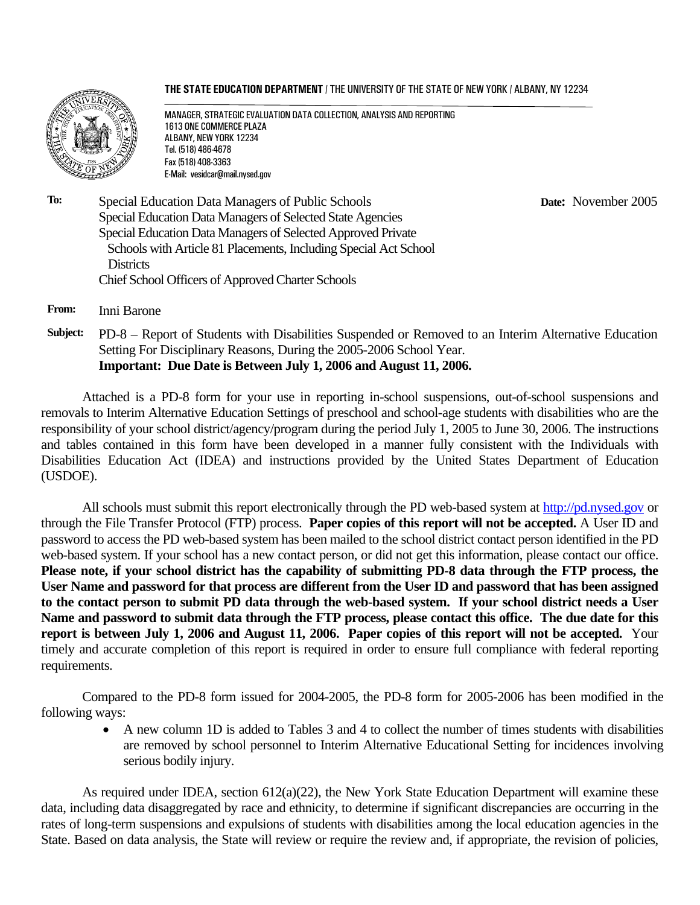**THE STATE EDUCATION DEPARTMENT** / THE UNIVERSITY OF THE STATE OF NEW YORK / ALBANY, NY 12234



MANAGER, STRATEGIC EVALUATION DATA COLLECTION, ANALYSIS AND REPORTING 1613 ONE COMMERCE PLAZA ALBANY, NEW YORK 12234 Tel. (518) 486-4678 Fax (518) 408-3363 E-Mail: vesidcar@mail.nysed.gov

 **Date:** November 2005

**To:** Special Education Data Managers of Public Schools Special Education Data Managers of Selected State Agencies Special Education Data Managers of Selected Approved Private Schools with Article 81 Placements, Including Special Act School **Districts** Chief School Officers of Approved Charter Schools

**From:** Inni Barone

**Subject:** PD-8 – Report of Students with Disabilities Suspended or Removed to an Interim Alternative Education Setting For Disciplinary Reasons, During the 2005-2006 School Year. **Important: Due Date is Between July 1, 2006 and August 11, 2006.**

Attached is a PD-8 form for your use in reporting in-school suspensions, out-of-school suspensions and removals to Interim Alternative Education Settings of preschool and school-age students with disabilities who are the responsibility of your school district/agency/program during the period July 1, 2005 to June 30, 2006. The instructions and tables contained in this form have been developed in a manner fully consistent with the Individuals with Disabilities Education Act (IDEA) and instructions provided by the United States Department of Education (USDOE).

All schools must submit this report electronically through the PD web-based system at http://pd.nysed.gov or through the File Transfer Protocol (FTP) process. **Paper copies of this report will not be accepted.** A User ID and password to access the PD web-based system has been mailed to the school district contact person identified in the PD web-based system. If your school has a new contact person, or did not get this information, please contact our office. **Please note, if your school district has the capability of submitting PD-8 data through the FTP process, the User Name and password for that process are different from the User ID and password that has been assigned to the contact person to submit PD data through the web-based system. If your school district needs a User Name and password to submit data through the FTP process, please contact this office. The due date for this report is between July 1, 2006 and August 11, 2006. Paper copies of this report will not be accepted.** Your timely and accurate completion of this report is required in order to ensure full compliance with federal reporting requirements.

 Compared to the PD-8 form issued for 2004-2005, the PD-8 form for 2005-2006 has been modified in the following ways:

• A new column 1D is added to Tables 3 and 4 to collect the number of times students with disabilities are removed by school personnel to Interim Alternative Educational Setting for incidences involving serious bodily injury.

As required under IDEA, section 612(a)(22), the New York State Education Department will examine these data, including data disaggregated by race and ethnicity, to determine if significant discrepancies are occurring in the rates of long-term suspensions and expulsions of students with disabilities among the local education agencies in the State. Based on data analysis, the State will review or require the review and, if appropriate, the revision of policies,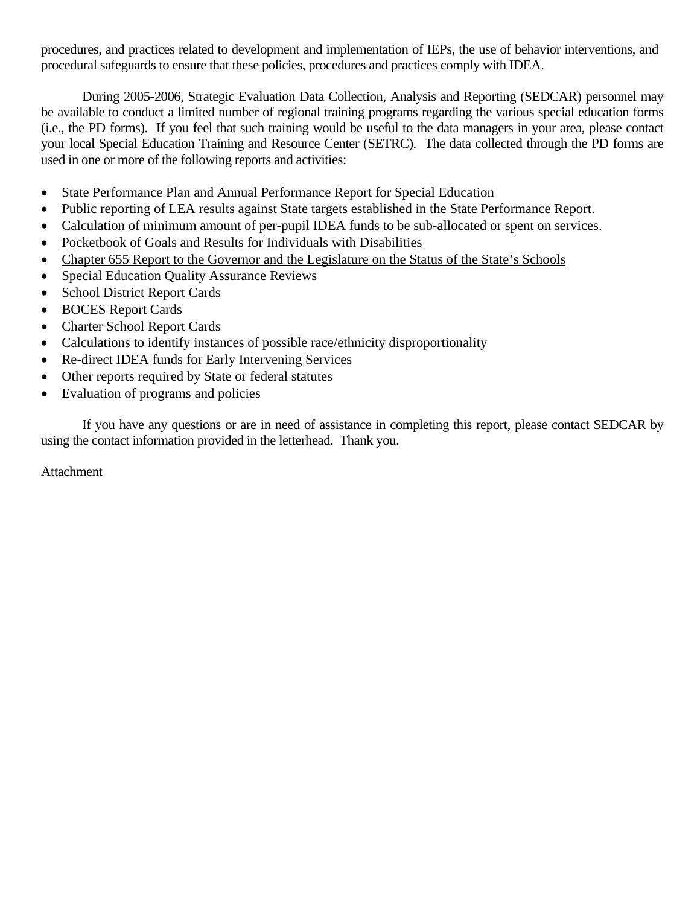procedures, and practices related to development and implementation of IEPs, the use of behavior interventions, and procedural safeguards to ensure that these policies, procedures and practices comply with IDEA.

During 2005-2006, Strategic Evaluation Data Collection, Analysis and Reporting (SEDCAR) personnel may be available to conduct a limited number of regional training programs regarding the various special education forms (i.e., the PD forms). If you feel that such training would be useful to the data managers in your area, please contact your local Special Education Training and Resource Center (SETRC). The data collected through the PD forms are used in one or more of the following reports and activities:

- State Performance Plan and Annual Performance Report for Special Education
- Public reporting of LEA results against State targets established in the State Performance Report.
- Calculation of minimum amount of per-pupil IDEA funds to be sub-allocated or spent on services.
- Pocketbook of Goals and Results for Individuals with Disabilities
- Chapter 655 Report to the Governor and the Legislature on the Status of the State's Schools
- Special Education Quality Assurance Reviews
- School District Report Cards
- BOCES Report Cards
- Charter School Report Cards
- Calculations to identify instances of possible race/ethnicity disproportionality
- Re-direct IDEA funds for Early Intervening Services
- Other reports required by State or federal statutes
- Evaluation of programs and policies

If you have any questions or are in need of assistance in completing this report, please contact SEDCAR by using the contact information provided in the letterhead. Thank you.

Attachment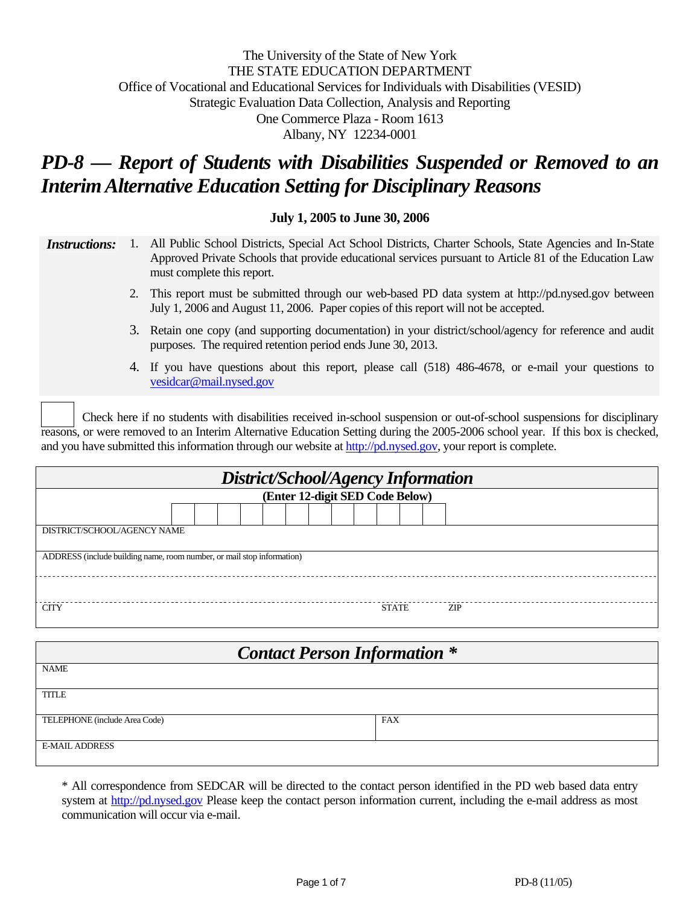# The University of the State of New York THE STATE EDUCATION DEPARTMENT Office of Vocational and Educational Services for Individuals with Disabilities (VESID) Strategic Evaluation Data Collection, Analysis and Reporting One Commerce Plaza - Room 1613 Albany, NY 12234-0001

# *PD-8 — Report of Students with Disabilities Suspended or Removed to an Interim Alternative Education Setting for Disciplinary Reasons*

#### **July 1, 2005 to June 30, 2006**

| <i>Instructions</i> : 1. | All Public School Districts, Special Act School Districts, Charter Schools, State Agencies and In-State |
|--------------------------|---------------------------------------------------------------------------------------------------------|
|                          | Approved Private Schools that provide educational services pursuant to Article 81 of the Education Law  |
|                          | must complete this report.                                                                              |

- 2. This report must be submitted through our web-based PD data system at http://pd.nysed.gov between July 1, 2006 and August 11, 2006. Paper copies of this report will not be accepted.
- 3. Retain one copy (and supporting documentation) in your district/school/agency for reference and audit purposes. The required retention period ends June 30, 2013.
- 4. If you have questions about this report, please call (518) 486-4678, or e-mail your questions to vesidcar@mail.nysed.gov

Check here if no students with disabilities received in-school suspension or out-of-school suspensions for disciplinary reasons, or were removed to an Interim Alternative Education Setting during the 2005-2006 school year. If this box is checked, and you have submitted this information through our website at http://pd.nysed.gov, your report is complete.

| District/School/Agency Information |                                                                        |  |  |  |  |  |  |  |              |  |     |  |
|------------------------------------|------------------------------------------------------------------------|--|--|--|--|--|--|--|--------------|--|-----|--|
| (Enter 12-digit SED Code Below)    |                                                                        |  |  |  |  |  |  |  |              |  |     |  |
|                                    |                                                                        |  |  |  |  |  |  |  |              |  |     |  |
| DISTRICT/SCHOOL/AGENCY NAME        |                                                                        |  |  |  |  |  |  |  |              |  |     |  |
|                                    | ADDRESS (include building name, room number, or mail stop information) |  |  |  |  |  |  |  |              |  |     |  |
|                                    |                                                                        |  |  |  |  |  |  |  |              |  |     |  |
| <b>CITY</b>                        |                                                                        |  |  |  |  |  |  |  | <b>STATE</b> |  | ZIP |  |

| <b>Contact Person Information *</b> |            |  |  |  |  |  |  |  |
|-------------------------------------|------------|--|--|--|--|--|--|--|
| <b>NAME</b>                         |            |  |  |  |  |  |  |  |
| <b>TITLE</b>                        |            |  |  |  |  |  |  |  |
| TELEPHONE (include Area Code)       | <b>FAX</b> |  |  |  |  |  |  |  |
| <b>E-MAIL ADDRESS</b>               |            |  |  |  |  |  |  |  |

\* All correspondence from SEDCAR will be directed to the contact person identified in the PD web based data entry system at http://pd.nysed.gov Please keep the contact person information current, including the e-mail address as most communication will occur via e-mail.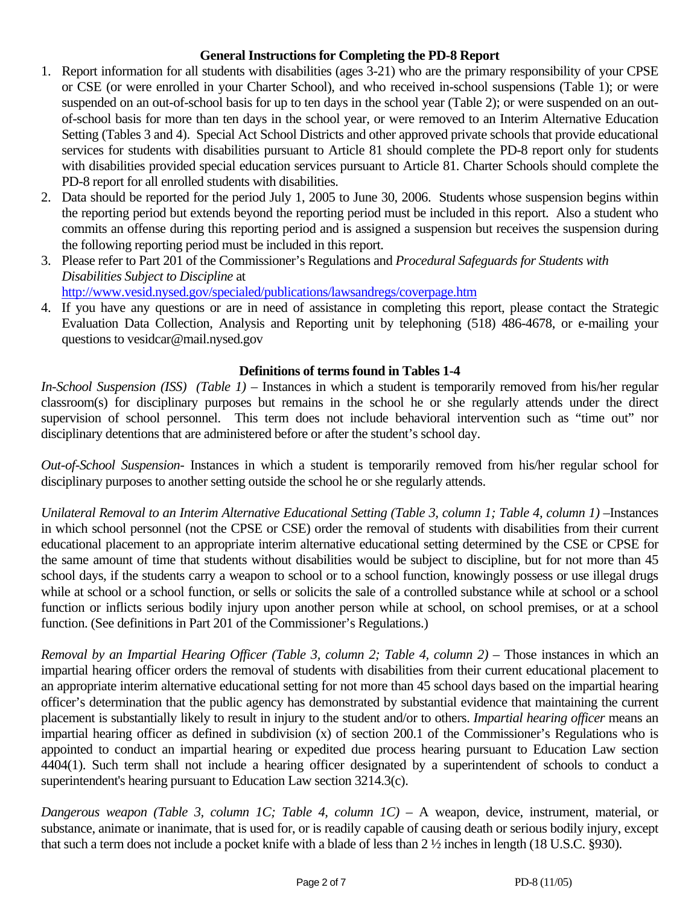## **General Instructions for Completing the PD-8 Report**

- 1. Report information for all students with disabilities (ages 3-21) who are the primary responsibility of your CPSE or CSE (or were enrolled in your Charter School), and who received in-school suspensions (Table 1); or were suspended on an out-of-school basis for up to ten days in the school year (Table 2); or were suspended on an outof-school basis for more than ten days in the school year, or were removed to an Interim Alternative Education Setting (Tables 3 and 4). Special Act School Districts and other approved private schools that provide educational services for students with disabilities pursuant to Article 81 should complete the PD-8 report only for students with disabilities provided special education services pursuant to Article 81. Charter Schools should complete the PD-8 report for all enrolled students with disabilities.
- 2. Data should be reported for the period July 1, 2005 to June 30, 2006. Students whose suspension begins within the reporting period but extends beyond the reporting period must be included in this report. Also a student who commits an offense during this reporting period and is assigned a suspension but receives the suspension during the following reporting period must be included in this report.
- 3. Please refer to Part 201 of the Commissioner's Regulations and *Procedural Safeguards for Students with Disabilities Subject to Discipline* at http://www.vesid.nysed.gov/specialed/publications/lawsandregs/coverpage.htm
- 4. If you have any questions or are in need of assistance in completing this report, please contact the Strategic Evaluation Data Collection, Analysis and Reporting unit by telephoning (518) 486-4678, or e-mailing your questions to vesidcar@mail.nysed.gov

# **Definitions of terms found in Tables 1-4**

*In-School Suspension (ISS) (Table 1)* – Instances in which a student is temporarily removed from his/her regular classroom(s) for disciplinary purposes but remains in the school he or she regularly attends under the direct supervision of school personnel. This term does not include behavioral intervention such as "time out" nor disciplinary detentions that are administered before or after the student's school day.

*Out-of-School Suspension*- Instances in which a student is temporarily removed from his/her regular school for disciplinary purposes to another setting outside the school he or she regularly attends.

*Unilateral Removal to an Interim Alternative Educational Setting (Table 3, column 1; Table 4, column 1)* –Instances in which school personnel (not the CPSE or CSE) order the removal of students with disabilities from their current educational placement to an appropriate interim alternative educational setting determined by the CSE or CPSE for the same amount of time that students without disabilities would be subject to discipline, but for not more than 45 school days, if the students carry a weapon to school or to a school function, knowingly possess or use illegal drugs while at school or a school function, or sells or solicits the sale of a controlled substance while at school or a school function or inflicts serious bodily injury upon another person while at school, on school premises, or at a school function. (See definitions in Part 201 of the Commissioner's Regulations.)

*Removal by an Impartial Hearing Officer (Table 3, column 2; Table 4, column 2)* – Those instances in which an impartial hearing officer orders the removal of students with disabilities from their current educational placement to an appropriate interim alternative educational setting for not more than 45 school days based on the impartial hearing officer's determination that the public agency has demonstrated by substantial evidence that maintaining the current placement is substantially likely to result in injury to the student and/or to others. *Impartial hearing officer* means an impartial hearing officer as defined in subdivision (x) of section 200.1 of the Commissioner's Regulations who is appointed to conduct an impartial hearing or expedited due process hearing pursuant to Education Law section 4404(1). Such term shall not include a hearing officer designated by a superintendent of schools to conduct a superintendent's hearing pursuant to Education Law section 3214.3(c).

*Dangerous weapon (Table 3, column 1C; Table 4, column 1C)* – A weapon, device, instrument, material, or substance, animate or inanimate, that is used for, or is readily capable of causing death or serious bodily injury, except that such a term does not include a pocket knife with a blade of less than 2 ½ inches in length (18 U.S.C. §930).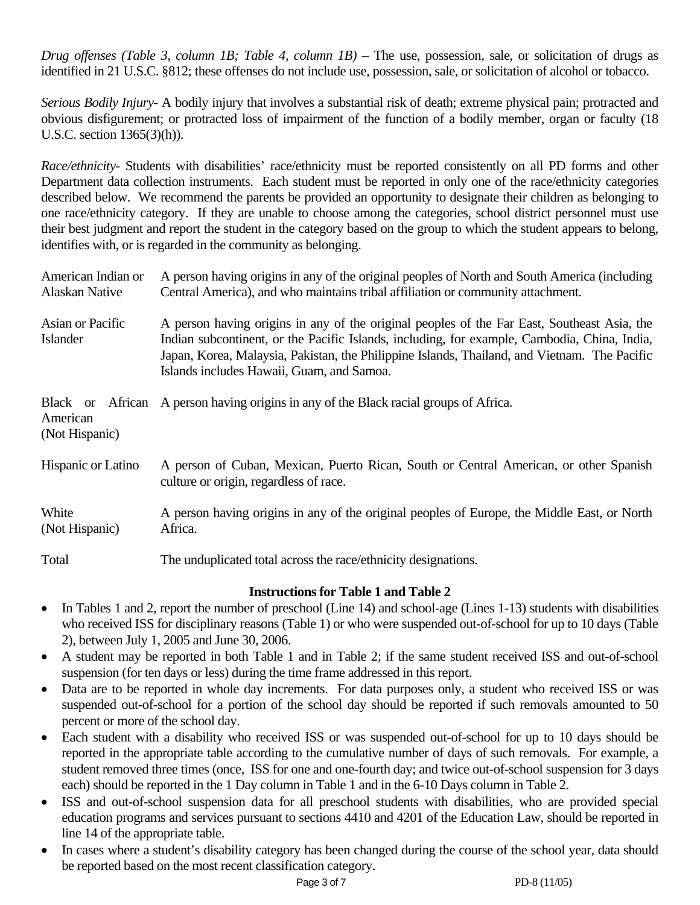*Drug offenses (Table 3, column 1B; Table 4, column 1B)* – The use, possession, sale, or solicitation of drugs as identified in 21 U.S.C. §812; these offenses do not include use, possession, sale, or solicitation of alcohol or tobacco.

*Serious Bodily Injury-* A bodily injury that involves a substantial risk of death; extreme physical pain; protracted and obvious disfigurement; or protracted loss of impairment of the function of a bodily member, organ or faculty (18 U.S.C. section 1365(3)(h)).

*Race/ethnicity-* Students with disabilities' race/ethnicity must be reported consistently on all PD forms and other Department data collection instruments. Each student must be reported in only one of the race/ethnicity categories described below. We recommend the parents be provided an opportunity to designate their children as belonging to one race/ethnicity category. If they are unable to choose among the categories, school district personnel must use their best judgment and report the student in the category based on the group to which the student appears to belong, identifies with, or is regarded in the community as belonging.

| American Indian or<br><b>Alaskan Native</b> | A person having origins in any of the original peoples of North and South America (including<br>Central America), and who maintains tribal affiliation or community attachment.                                                                                                                                                          |  |  |  |  |  |  |  |
|---------------------------------------------|------------------------------------------------------------------------------------------------------------------------------------------------------------------------------------------------------------------------------------------------------------------------------------------------------------------------------------------|--|--|--|--|--|--|--|
| Asian or Pacific<br>Islander                | A person having origins in any of the original peoples of the Far East, Southeast Asia, the<br>Indian subcontinent, or the Pacific Islands, including, for example, Cambodia, China, India,<br>Japan, Korea, Malaysia, Pakistan, the Philippine Islands, Thailand, and Vietnam. The Pacific<br>Islands includes Hawaii, Guam, and Samoa. |  |  |  |  |  |  |  |
| American<br>(Not Hispanic)                  | Black or African A person having origins in any of the Black racial groups of Africa.                                                                                                                                                                                                                                                    |  |  |  |  |  |  |  |
| Hispanic or Latino                          | A person of Cuban, Mexican, Puerto Rican, South or Central American, or other Spanish<br>culture or origin, regardless of race.                                                                                                                                                                                                          |  |  |  |  |  |  |  |
| White<br>(Not Hispanic)                     | A person having origins in any of the original peoples of Europe, the Middle East, or North<br>Africa.                                                                                                                                                                                                                                   |  |  |  |  |  |  |  |
| Total                                       | The unduplicated total across the race/ethnicity designations.                                                                                                                                                                                                                                                                           |  |  |  |  |  |  |  |

# **Instructions for Table 1 and Table 2**

- In Tables 1 and 2, report the number of preschool (Line 14) and school-age (Lines 1-13) students with disabilities who received ISS for disciplinary reasons (Table 1) or who were suspended out-of-school for up to 10 days (Table 2), between July 1, 2005 and June 30, 2006.
- A student may be reported in both Table 1 and in Table 2; if the same student received ISS and out-of-school suspension (for ten days or less) during the time frame addressed in this report.
- Data are to be reported in whole day increments. For data purposes only, a student who received ISS or was suspended out-of-school for a portion of the school day should be reported if such removals amounted to 50 percent or more of the school day.
- Each student with a disability who received ISS or was suspended out-of-school for up to 10 days should be reported in the appropriate table according to the cumulative number of days of such removals. For example, a student removed three times (once, ISS for one and one-fourth day; and twice out-of-school suspension for 3 days each) should be reported in the 1 Day column in Table 1 and in the 6-10 Days column in Table 2.
- ISS and out-of-school suspension data for all preschool students with disabilities, who are provided special education programs and services pursuant to sections 4410 and 4201 of the Education Law, should be reported in line 14 of the appropriate table.
- In cases where a student's disability category has been changed during the course of the school year, data should be reported based on the most recent classification category.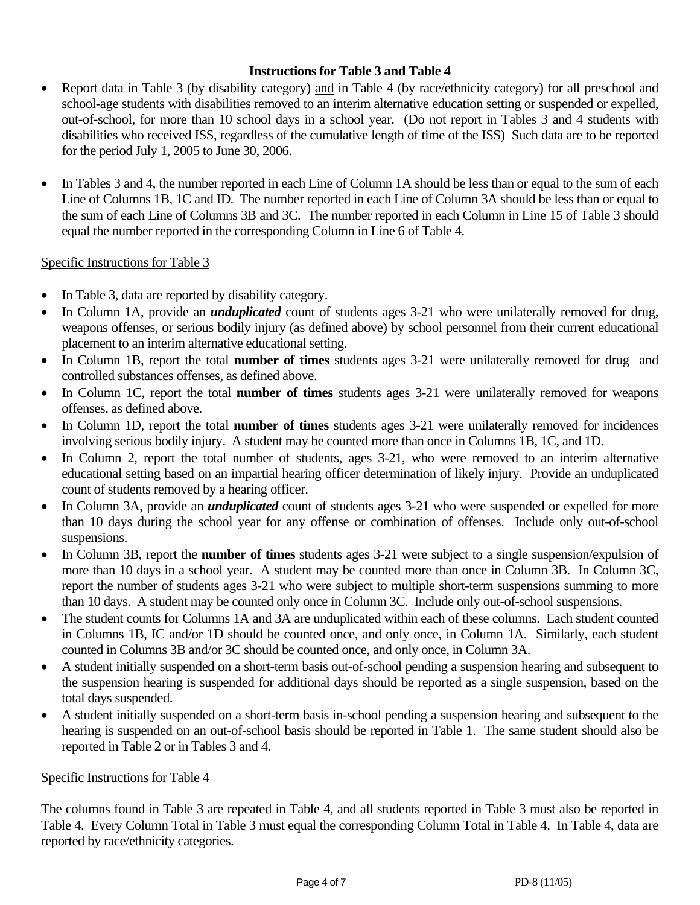# **Instructions for Table 3 and Table 4**

- Report data in Table 3 (by disability category) and in Table 4 (by race/ethnicity category) for all preschool and school-age students with disabilities removed to an interim alternative education setting or suspended or expelled, out-of-school, for more than 10 school days in a school year. (Do not report in Tables 3 and 4 students with disabilities who received ISS, regardless of the cumulative length of time of the ISS) Such data are to be reported for the period July 1, 2005 to June 30, 2006.
- In Tables 3 and 4, the number reported in each Line of Column 1A should be less than or equal to the sum of each Line of Columns 1B, 1C and ID. The number reported in each Line of Column 3A should be less than or equal to the sum of each Line of Columns 3B and 3C. The number reported in each Column in Line 15 of Table 3 should equal the number reported in the corresponding Column in Line 6 of Table 4.

## Specific Instructions for Table 3

- In Table 3, data are reported by disability category.
- In Column 1A, provide an *unduplicated* count of students ages 3-21 who were unilaterally removed for drug, weapons offenses, or serious bodily injury (as defined above) by school personnel from their current educational placement to an interim alternative educational setting.
- In Column 1B, report the total **number of times** students ages 3-21 were unilaterally removed for drug and controlled substances offenses, as defined above.
- In Column 1C, report the total **number of times** students ages 3-21 were unilaterally removed for weapons offenses, as defined above.
- In Column 1D, report the total **number of times** students ages 3-21 were unilaterally removed for incidences involving serious bodily injury. A student may be counted more than once in Columns 1B, 1C, and 1D.
- In Column 2, report the total number of students, ages 3-21, who were removed to an interim alternative educational setting based on an impartial hearing officer determination of likely injury. Provide an unduplicated count of students removed by a hearing officer.
- In Column 3A, provide an *unduplicated* count of students ages 3-21 who were suspended or expelled for more than 10 days during the school year for any offense or combination of offenses. Include only out-of-school suspensions.
- In Column 3B, report the **number of times** students ages 3-21 were subject to a single suspension/expulsion of more than 10 days in a school year. A student may be counted more than once in Column 3B. In Column 3C, report the number of students ages 3-21 who were subject to multiple short-term suspensions summing to more than 10 days. A student may be counted only once in Column 3C. Include only out-of-school suspensions.
- The student counts for Columns 1A and 3A are unduplicated within each of these columns. Each student counted in Columns 1B, IC and/or 1D should be counted once, and only once, in Column 1A. Similarly, each student counted in Columns 3B and/or 3C should be counted once, and only once, in Column 3A.
- A student initially suspended on a short-term basis out-of-school pending a suspension hearing and subsequent to the suspension hearing is suspended for additional days should be reported as a single suspension, based on the total days suspended.
- A student initially suspended on a short-term basis in-school pending a suspension hearing and subsequent to the hearing is suspended on an out-of-school basis should be reported in Table 1. The same student should also be reported in Table 2 or in Tables 3 and 4.

## Specific Instructions for Table 4

The columns found in Table 3 are repeated in Table 4, and all students reported in Table 3 must also be reported in Table 4. Every Column Total in Table 3 must equal the corresponding Column Total in Table 4. In Table 4, data are reported by race/ethnicity categories.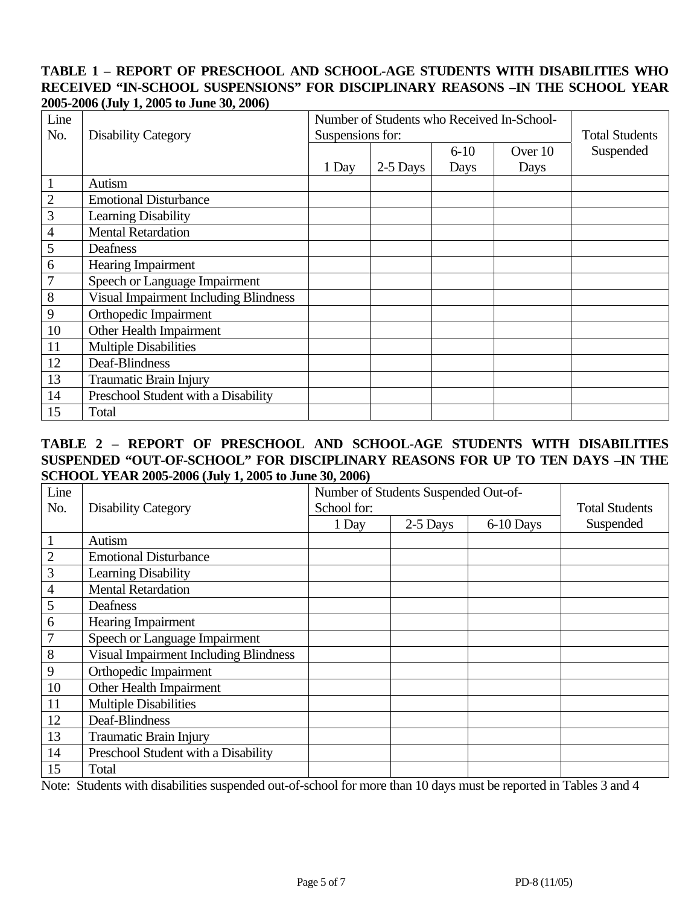## **TABLE 1 – REPORT OF PRESCHOOL AND SCHOOL-AGE STUDENTS WITH DISABILITIES WHO RECEIVED "IN-SCHOOL SUSPENSIONS" FOR DISCIPLINARY REASONS –IN THE SCHOOL YEAR 2005-2006 (July 1, 2005 to June 30, 2006)**

| Line<br>No.    | <b>Disability Category</b>                   | Number of Students who Received In-School-<br>Suspensions for: | <b>Total Students</b> |          |         |           |
|----------------|----------------------------------------------|----------------------------------------------------------------|-----------------------|----------|---------|-----------|
|                |                                              |                                                                |                       | $6 - 10$ | Over 10 | Suspended |
|                |                                              | 1 Day                                                          | 2-5 Days              | Days     | Days    |           |
|                | Autism                                       |                                                                |                       |          |         |           |
| $\overline{2}$ | <b>Emotional Disturbance</b>                 |                                                                |                       |          |         |           |
| 3              | <b>Learning Disability</b>                   |                                                                |                       |          |         |           |
| 4              | <b>Mental Retardation</b>                    |                                                                |                       |          |         |           |
| 5              | Deafness                                     |                                                                |                       |          |         |           |
| 6              | <b>Hearing Impairment</b>                    |                                                                |                       |          |         |           |
|                | Speech or Language Impairment                |                                                                |                       |          |         |           |
| 8              | <b>Visual Impairment Including Blindness</b> |                                                                |                       |          |         |           |
| 9              | Orthopedic Impairment                        |                                                                |                       |          |         |           |
| 10             | Other Health Impairment                      |                                                                |                       |          |         |           |
| 11             | <b>Multiple Disabilities</b>                 |                                                                |                       |          |         |           |
| 12             | Deaf-Blindness                               |                                                                |                       |          |         |           |
| 13             | Traumatic Brain Injury                       |                                                                |                       |          |         |           |
| 14             | Preschool Student with a Disability          |                                                                |                       |          |         |           |
| 15             | Total                                        |                                                                |                       |          |         |           |

## **TABLE 2 – REPORT OF PRESCHOOL AND SCHOOL-AGE STUDENTS WITH DISABILITIES SUSPENDED "OUT-OF-SCHOOL" FOR DISCIPLINARY REASONS FOR UP TO TEN DAYS –IN THE SCHOOL YEAR 2005-2006 (July 1, 2005 to June 30, 2006)**

| Line           |                                              | Number of Students Suspended Out-of- | <b>Total Students</b> |           |           |
|----------------|----------------------------------------------|--------------------------------------|-----------------------|-----------|-----------|
| No.            | <b>Disability Category</b>                   | School for:                          |                       |           |           |
|                |                                              | 1 Day                                | 2-5 Days              | 6-10 Days | Suspended |
| 1              | Autism                                       |                                      |                       |           |           |
| $\overline{2}$ | <b>Emotional Disturbance</b>                 |                                      |                       |           |           |
| 3              | <b>Learning Disability</b>                   |                                      |                       |           |           |
| $\overline{4}$ | <b>Mental Retardation</b>                    |                                      |                       |           |           |
| 5              | Deafness                                     |                                      |                       |           |           |
| 6              | Hearing Impairment                           |                                      |                       |           |           |
|                | Speech or Language Impairment                |                                      |                       |           |           |
| 8              | <b>Visual Impairment Including Blindness</b> |                                      |                       |           |           |
| 9              | Orthopedic Impairment                        |                                      |                       |           |           |
| 10             | Other Health Impairment                      |                                      |                       |           |           |
| 11             | <b>Multiple Disabilities</b>                 |                                      |                       |           |           |
| 12             | Deaf-Blindness                               |                                      |                       |           |           |
| 13             | <b>Traumatic Brain Injury</b>                |                                      |                       |           |           |
| 14             | Preschool Student with a Disability          |                                      |                       |           |           |
| 15             | Total                                        |                                      |                       |           |           |

Note: Students with disabilities suspended out-of-school for more than 10 days must be reported in Tables 3 and 4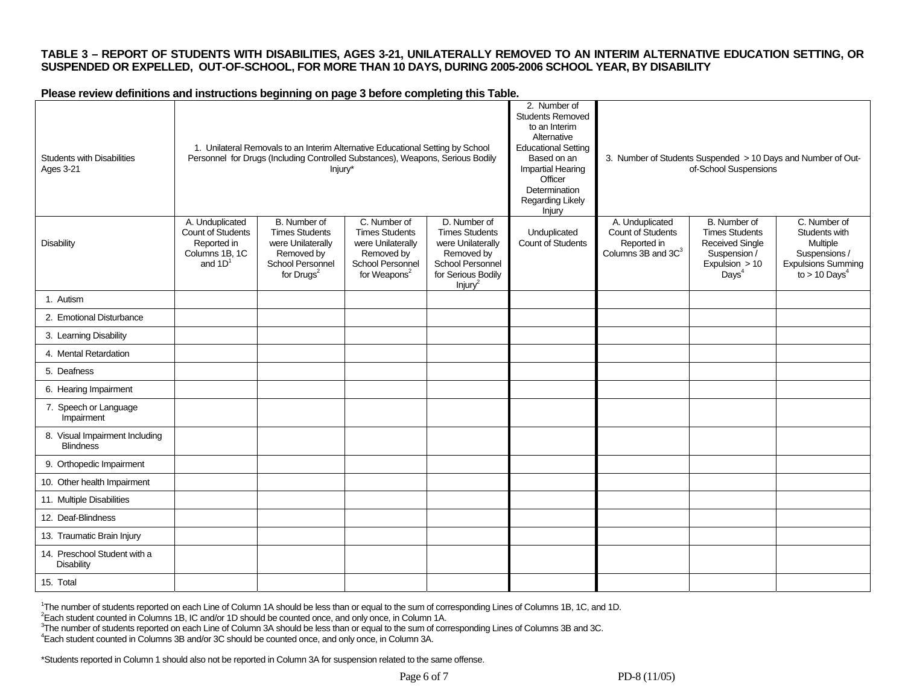#### **TABLE 3 – REPORT OF STUDENTS WITH DISABILITIES, AGES 3-21, UNILATERALLY REMOVED TO AN INTERIM ALTERNATIVE EDUCATION SETTING, OR SUSPENDED OR EXPELLED, OUT-OF-SCHOOL, FOR MORE THAN 10 DAYS, DURING 2005-2006 SCHOOL YEAR, BY DISABILITY**

#### **Please review definitions and instructions beginning on page 3 before completing this Table.**

| <b>Students with Disabilities</b><br><b>Ages 3-21</b> |                                                                                           | 1. Unilateral Removals to an Interim Alternative Educational Setting by School<br>Personnel for Drugs (Including Controlled Substances), Weapons, Serious Bodily<br>Injury* |                                                                                                                          |                                                                                                                                           | 2. Number of<br><b>Students Removed</b><br>to an Interim<br>Alternative<br><b>Educational Setting</b><br>Based on an<br><b>Impartial Hearing</b><br>Officer<br>Determination<br>Regarding Likely<br>Injury |                                                                                              | of-School Suspensions                                                                                                  | 3. Number of Students Suspended > 10 Days and Number of Out-                                                           |
|-------------------------------------------------------|-------------------------------------------------------------------------------------------|-----------------------------------------------------------------------------------------------------------------------------------------------------------------------------|--------------------------------------------------------------------------------------------------------------------------|-------------------------------------------------------------------------------------------------------------------------------------------|------------------------------------------------------------------------------------------------------------------------------------------------------------------------------------------------------------|----------------------------------------------------------------------------------------------|------------------------------------------------------------------------------------------------------------------------|------------------------------------------------------------------------------------------------------------------------|
| <b>Disability</b>                                     | A. Unduplicated<br><b>Count of Students</b><br>Reported in<br>Columns 1B, 1C<br>and $1D1$ | B. Number of<br><b>Times Students</b><br>were Unilaterally<br>Removed by<br>School Personnel<br>for $Drugs2$                                                                | C. Number of<br><b>Times Students</b><br>were Unilaterally<br>Removed by<br>School Personnel<br>for Weapons <sup>2</sup> | D. Number of<br><b>Times Students</b><br>were Unilaterally<br>Removed by<br>School Personnel<br>for Serious Bodily<br>Injury <sup>2</sup> | Unduplicated<br>Count of Students                                                                                                                                                                          | A. Unduplicated<br><b>Count of Students</b><br>Reported in<br>Columns 3B and 3C <sup>3</sup> | B. Number of<br><b>Times Students</b><br><b>Received Single</b><br>Suspension /<br>Expulsion > 10<br>Days <sup>4</sup> | C. Number of<br>Students with<br>Multiple<br>Suspensions /<br><b>Expulsions Summing</b><br>to $> 10$ Days <sup>4</sup> |
| 1. Autism                                             |                                                                                           |                                                                                                                                                                             |                                                                                                                          |                                                                                                                                           |                                                                                                                                                                                                            |                                                                                              |                                                                                                                        |                                                                                                                        |
| 2. Emotional Disturbance                              |                                                                                           |                                                                                                                                                                             |                                                                                                                          |                                                                                                                                           |                                                                                                                                                                                                            |                                                                                              |                                                                                                                        |                                                                                                                        |
| 3. Learning Disability                                |                                                                                           |                                                                                                                                                                             |                                                                                                                          |                                                                                                                                           |                                                                                                                                                                                                            |                                                                                              |                                                                                                                        |                                                                                                                        |
| 4. Mental Retardation                                 |                                                                                           |                                                                                                                                                                             |                                                                                                                          |                                                                                                                                           |                                                                                                                                                                                                            |                                                                                              |                                                                                                                        |                                                                                                                        |
| 5. Deafness                                           |                                                                                           |                                                                                                                                                                             |                                                                                                                          |                                                                                                                                           |                                                                                                                                                                                                            |                                                                                              |                                                                                                                        |                                                                                                                        |
| 6. Hearing Impairment                                 |                                                                                           |                                                                                                                                                                             |                                                                                                                          |                                                                                                                                           |                                                                                                                                                                                                            |                                                                                              |                                                                                                                        |                                                                                                                        |
| 7. Speech or Language<br>Impairment                   |                                                                                           |                                                                                                                                                                             |                                                                                                                          |                                                                                                                                           |                                                                                                                                                                                                            |                                                                                              |                                                                                                                        |                                                                                                                        |
| 8. Visual Impairment Including<br><b>Blindness</b>    |                                                                                           |                                                                                                                                                                             |                                                                                                                          |                                                                                                                                           |                                                                                                                                                                                                            |                                                                                              |                                                                                                                        |                                                                                                                        |
| 9. Orthopedic Impairment                              |                                                                                           |                                                                                                                                                                             |                                                                                                                          |                                                                                                                                           |                                                                                                                                                                                                            |                                                                                              |                                                                                                                        |                                                                                                                        |
| 10. Other health Impairment                           |                                                                                           |                                                                                                                                                                             |                                                                                                                          |                                                                                                                                           |                                                                                                                                                                                                            |                                                                                              |                                                                                                                        |                                                                                                                        |
| 11. Multiple Disabilities                             |                                                                                           |                                                                                                                                                                             |                                                                                                                          |                                                                                                                                           |                                                                                                                                                                                                            |                                                                                              |                                                                                                                        |                                                                                                                        |
| 12. Deaf-Blindness                                    |                                                                                           |                                                                                                                                                                             |                                                                                                                          |                                                                                                                                           |                                                                                                                                                                                                            |                                                                                              |                                                                                                                        |                                                                                                                        |
| 13. Traumatic Brain Injury                            |                                                                                           |                                                                                                                                                                             |                                                                                                                          |                                                                                                                                           |                                                                                                                                                                                                            |                                                                                              |                                                                                                                        |                                                                                                                        |
| 14. Preschool Student with a<br>Disability            |                                                                                           |                                                                                                                                                                             |                                                                                                                          |                                                                                                                                           |                                                                                                                                                                                                            |                                                                                              |                                                                                                                        |                                                                                                                        |
| 15. Total                                             |                                                                                           |                                                                                                                                                                             |                                                                                                                          |                                                                                                                                           |                                                                                                                                                                                                            |                                                                                              |                                                                                                                        |                                                                                                                        |

<sup>1</sup>The number of students reported on each Line of Column 1A should be less than or equal to the sum of corresponding Lines of Columns 1B, 1C, and 1D.<br><sup>2</sup>Each student counted in Columns 1B, IC and/or 1D should be counted o

<sup>3</sup>The number of students reported on each Line of Column 3A should be less than or equal to the sum of corresponding Lines of Columns 3B and 3C.<br><sup>4</sup>Each student counted in Columns 3B and/or 3C should be counted once, and

\*Students reported in Column 1 should also not be reported in Column 3A for suspension related to the same offense.

Page 6 of 7 PD-8 (11/05)